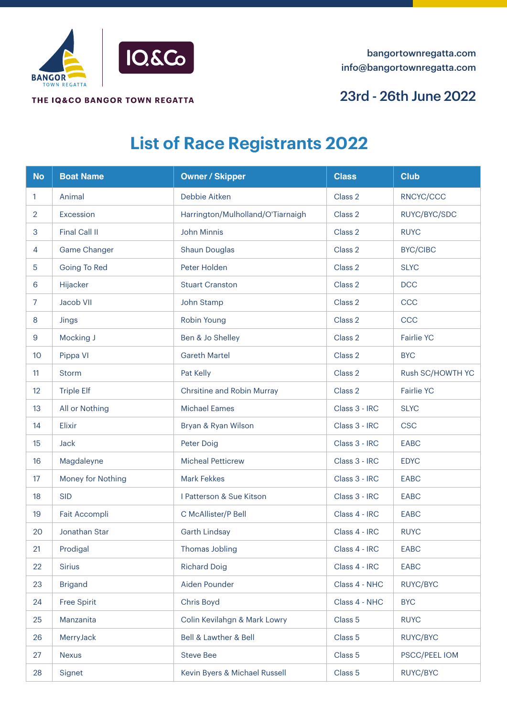

THE IQ&CO BANGOR TOWN REGATTA

## 23rd - 26th June 2022

## **List of Race Registrants 2022**

| <b>No</b>      | <b>Boat Name</b>   | <b>Owner / Skipper</b>            | <b>Class</b>  | <b>Club</b>       |
|----------------|--------------------|-----------------------------------|---------------|-------------------|
| 1              | Animal             | Debbie Aitken                     | Class 2       | RNCYC/CCC         |
| $\overline{2}$ | Excession          | Harrington/Mulholland/O'Tiarnaigh | Class 2       | RUYC/BYC/SDC      |
| 3              | Final Call II      | <b>John Minnis</b>                | Class 2       | <b>RUYC</b>       |
| 4              | Game Changer       | Shaun Douglas                     | Class 2       | <b>BYC/CIBC</b>   |
| 5              | Going To Red       | Peter Holden                      | Class 2       | <b>SLYC</b>       |
| 6              | Hijacker           | <b>Stuart Cranston</b>            | Class 2       | DCC               |
| $\overline{7}$ | Jacob VII          | John Stamp                        | Class 2       | CCC               |
| 8              | Jings              | Robin Young                       | Class 2       | CCC               |
| $9$            | Mocking J          | Ben & Jo Shelley                  | Class 2       | <b>Fairlie YC</b> |
| 10             | Pippa VI           | <b>Gareth Martel</b>              | Class 2       | <b>BYC</b>        |
| 11             | <b>Storm</b>       | Pat Kelly                         | Class 2       | Rush SC/HOWTH YC  |
| 12             | <b>Triple Elf</b>  | Chrsitine and Robin Murray        | Class 2       | <b>Fairlie YC</b> |
| 13             | All or Nothing     | <b>Michael Eames</b>              | Class 3 - IRC | <b>SLYC</b>       |
| 14             | Elixir             | Bryan & Ryan Wilson               | Class 3 - IRC | <b>CSC</b>        |
| 15             | <b>Jack</b>        | Peter Doig                        | Class 3 - IRC | <b>EABC</b>       |
| 16             | Magdaleyne         | <b>Micheal Petticrew</b>          | Class 3 - IRC | <b>EDYC</b>       |
| 17             | Money for Nothing  | <b>Mark Fekkes</b>                | Class 3 - IRC | <b>EABC</b>       |
| 18             | <b>SID</b>         | I Patterson & Sue Kitson          | Class 3 - IRC | <b>EABC</b>       |
| 19             | Fait Accompli      | C McAllister/P Bell               | Class 4 - IRC | <b>EABC</b>       |
| 20             | Jonathan Star      | Garth Lindsay                     | Class 4 - IRC | <b>RUYC</b>       |
| 21             | Prodigal           | Thomas Jobling                    | Class 4 - IRC | EABC              |
| 22             | <b>Sirius</b>      | <b>Richard Doig</b>               | Class 4 - IRC | EABC              |
| 23             | <b>Brigand</b>     | Aiden Pounder                     | Class 4 - NHC | RUYC/BYC          |
| 24             | <b>Free Spirit</b> | Chris Boyd                        | Class 4 - NHC | <b>BYC</b>        |
| 25             | Manzanita          | Colin Kevilahgn & Mark Lowry      | Class 5       | <b>RUYC</b>       |
| 26             | MerryJack          | Bell & Lawther & Bell             | Class 5       | RUYC/BYC          |
| 27             | <b>Nexus</b>       | <b>Steve Bee</b>                  | Class 5       | PSCC/PEEL IOM     |
| 28             | Signet             | Kevin Byers & Michael Russell     | Class 5       | RUYC/BYC          |